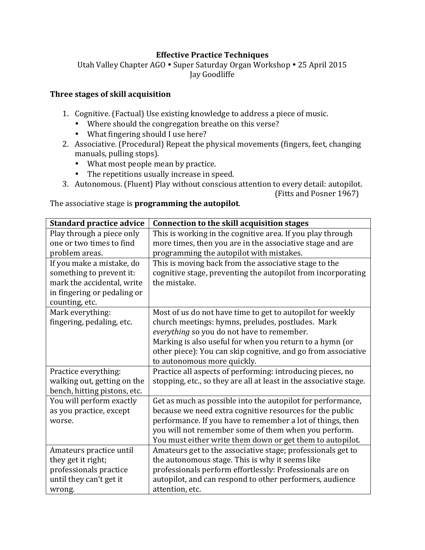### **Effective Practice Techniques**

Utah Valley Chapter AGO • Super Saturday Organ Workshop • 25 April 2015 Jay Goodliffe

#### **Three stages of skill acquisition**

- 1. Cognitive. (Factual) Use existing knowledge to address a piece of music.
	- Where should the congregation breathe on this verse?
	- What fingering should I use here?
- 2. Associative. (Procedural) Repeat the physical movements (fingers, feet, changing manuals, pulling stops).
	- What most people mean by practice.
	- The repetitions usually increase in speed.
- 3. Autonomous. (Fluent) Play without conscious attention to every detail: autopilot.

(Fitts and Posner 1967)

The associative stage is **programming the autopilot**.

| <b>Standard practice advice</b> | <b>Connection to the skill acquisition stages</b>                  |
|---------------------------------|--------------------------------------------------------------------|
| Play through a piece only       | This is working in the cognitive area. If you play through         |
| one or two times to find        | more times, then you are in the associative stage and are          |
| problem areas.                  | programming the autopilot with mistakes.                           |
| If you make a mistake, do       | This is moving back from the associative stage to the              |
| something to prevent it:        | cognitive stage, preventing the autopilot from incorporating       |
| mark the accidental, write      | the mistake.                                                       |
| in fingering or pedaling or     |                                                                    |
| counting, etc.                  |                                                                    |
| Mark everything:                | Most of us do not have time to get to autopilot for weekly         |
| fingering, pedaling, etc.       | church meetings: hymns, preludes, postludes. Mark                  |
|                                 | everything so you do not have to remember.                         |
|                                 | Marking is also useful for when you return to a hymn (or           |
|                                 | other piece): You can skip cognitive, and go from associative      |
|                                 | to autonomous more quickly.                                        |
| Practice everything:            | Practice all aspects of performing: introducing pieces, no         |
| walking out, getting on the     | stopping, etc., so they are all at least in the associative stage. |
| bench, hitting pistons, etc.    |                                                                    |
| You will perform exactly        | Get as much as possible into the autopilot for performance,        |
| as you practice, except         | because we need extra cognitive resources for the public           |
| worse.                          | performance. If you have to remember a lot of things, then         |
|                                 | you will not remember some of them when you perform.               |
|                                 | You must either write them down or get them to autopilot.          |
| Amateurs practice until         | Amateurs get to the associative stage; professionals get to        |
| they get it right;              | the autonomous stage. This is why it seems like                    |
| professionals practice          | professionals perform effortlessly: Professionals are on           |
| until they can't get it         | autopilot, and can respond to other performers, audience           |
| wrong.                          | attention, etc.                                                    |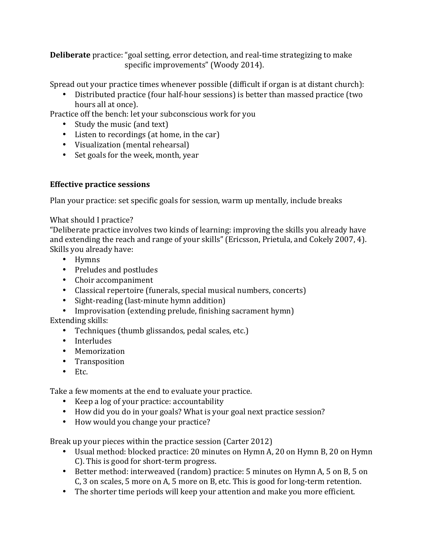**Deliberate** practice: "goal setting, error detection, and real-time strategizing to make specific improvements" (Woody 2014).

Spread out your practice times whenever possible (difficult if organ is at distant church):

• Distributed practice (four half-hour sessions) is better than massed practice (two hours all at once).

Practice off the bench: let your subconscious work for you

- Study the music (and text)
- Listen to recordings (at home, in the car)
- Visualization (mental rehearsal)
- Set goals for the week, month, year

# **Effective practice sessions**

Plan your practice: set specific goals for session, warm up mentally, include breaks

### What should I practice?

"Deliberate practice involves two kinds of learning: improving the skills you already have and extending the reach and range of your skills" (Ericsson, Prietula, and Cokely 2007, 4). Skills you already have:

- Hymns
- Preludes and postludes
- Choir accompaniment
- Classical repertoire (funerals, special musical numbers, concerts)
- Sight-reading (last-minute hymn addition)
- Improvisation (extending prelude, finishing sacrament hymn)
- Extending skills:
	- Techniques (thumb glissandos, pedal scales, etc.)
	- Interludes
	- Memorization
	- Transposition
	- Etc.

Take a few moments at the end to evaluate your practice.

- Keep a log of your practice: accountability
- How did you do in your goals? What is your goal next practice session?
- How would you change your practice?

Break up your pieces within the practice session (Carter 2012)

- Usual method: blocked practice: 20 minutes on Hymn A, 20 on Hymn B, 20 on Hymn C). This is good for short-term progress.
- Better method: interweaved (random) practice: 5 minutes on Hymn A, 5 on B, 5 on C, 3 on scales, 5 more on A, 5 more on B, etc. This is good for long-term retention.
- The shorter time periods will keep your attention and make you more efficient.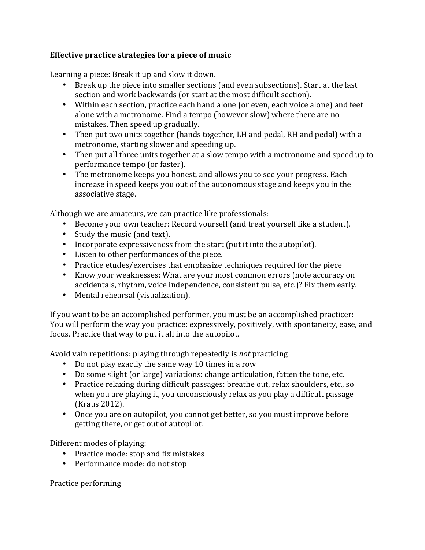# **Effective practice strategies for a piece of music**

Learning a piece: Break it up and slow it down.

- Break up the piece into smaller sections (and even subsections). Start at the last section and work backwards (or start at the most difficult section).
- Within each section, practice each hand alone (or even, each voice alone) and feet alone with a metronome. Find a tempo (however slow) where there are no mistakes. Then speed up gradually.
- Then put two units together (hands together, LH and pedal, RH and pedal) with a metronome, starting slower and speeding up.
- Then put all three units together at a slow tempo with a metronome and speed up to performance tempo (or faster).
- The metronome keeps you honest, and allows you to see your progress. Each increase in speed keeps you out of the autonomous stage and keeps you in the associative stage.

Although we are amateurs, we can practice like professionals:

- Become your own teacher: Record yourself (and treat yourself like a student).
- Study the music (and text).
- Incorporate expressiveness from the start (put it into the autopilot).
- Listen to other performances of the piece.
- Practice etudes/exercises that emphasize techniques required for the piece
- Know your weaknesses: What are your most common errors (note accuracy on accidentals, rhythm, voice independence, consistent pulse, etc.)? Fix them early.
- Mental rehearsal (visualization).

If you want to be an accomplished performer, you must be an accomplished practicer: You will perform the way you practice: expressively, positively, with spontaneity, ease, and focus. Practice that way to put it all into the autopilot.

Avoid vain repetitions: playing through repeatedly is *not* practicing

- Do not play exactly the same way 10 times in a row
- Do some slight (or large) variations: change articulation, fatten the tone, etc.
- Practice relaxing during difficult passages: breathe out, relax shoulders, etc., so when you are playing it, you unconsciously relax as you play a difficult passage (Kraus 2012).
- Once you are on autopilot, you cannot get better, so you must improve before getting there, or get out of autopilot.

Different modes of playing:

- Practice mode: stop and fix mistakes
- Performance mode: do not stop

Practice performing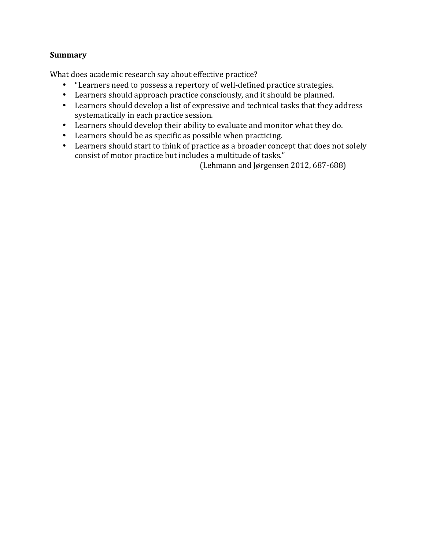### **Summary**

What does academic research say about effective practice?

- "Learners need to possess a repertory of well-defined practice strategies.
- Learners should approach practice consciously, and it should be planned.
- Learners should develop a list of expressive and technical tasks that they address systematically in each practice session.
- Learners should develop their ability to evaluate and monitor what they do.
- Learners should be as specific as possible when practicing.
- Learners should start to think of practice as a broader concept that does not solely consist of motor practice but includes a multitude of tasks."

(Lehmann and Jørgensen 2012, 687-688)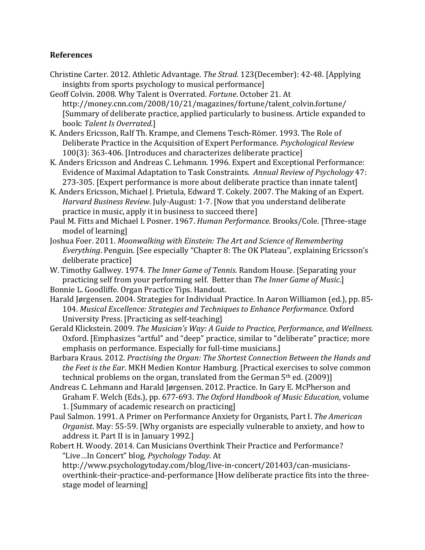### **References**

- Christine Carter. 2012. Athletic Advantage. *The Strad.* 123(December): 42-48. [Applying] insights from sports psychology to musical performance]
- Geoff Colvin. 2008. Why Talent is Overrated. Fortune. October 21. At http://money.cnn.com/2008/10/21/magazines/fortune/talent\_colvin.fortune/ [Summary of deliberate practice, applied particularly to business. Article expanded to book: *Talent Is Overrated*.]
- K. Anders Ericsson, Ralf Th. Krampe, and Clemens Tesch-Römer. 1993. The Role of Deliberate Practice in the Acquisition of Expert Performance. *Psychological Review* 100(3): 363-406. [Introduces and characterizes deliberate practice]
- K. Anders Ericsson and Andreas C. Lehmann. 1996. Expert and Exceptional Performance: Evidence of Maximal Adaptation to Task Constraints. Annual Review of Psychology 47: 273-305. [Expert performance is more about deliberate practice than innate talent]
- K. Anders Ericsson, Michael I. Prietula, Edward T. Cokely, 2007. The Making of an Expert. *Harvard Business Review.* July-August: 1-7. [Now that you understand deliberate practice in music, apply it in business to succeed there]
- Paul M. Fitts and Michael I. Posner. 1967. *Human Performance*. Brooks/Cole. [Three-stage model of learning
- Joshua Foer. 2011. *Moonwalking with Einstein: The Art and Science of Remembering Everything*. Penguin. [See especially "Chapter 8: The OK Plateau", explaining Ericsson's deliberate practice]
- W. Timothy Gallwey. 1974. *The Inner Game of Tennis*. Random House. [Separating your practicing self from your performing self. Better than *The Inner Game of Music*.]
- Bonnie L. Goodliffe. Organ Practice Tips. Handout.
- Harald Jørgensen. 2004. Strategies for Individual Practice. In Aaron Williamon (ed.), pp. 85-104. Musical Excellence: Strategies and Techniques to Enhance Performance. Oxford University Press. [Practicing as self-teaching]
- Gerald Klickstein. 2009. *The Musician's Way: A Guide to Practice, Performance, and Wellness.* Oxford. [Emphasizes "artful" and "deep" practice, similar to "deliberate" practice; more emphasis on performance. Especially for full-time musicians.
- Barbara Kraus. 2012. *Practising the Organ: The Shortest Connection Between the Hands and the Feet is the Ear*. MKH Medien Kontor Hamburg. [Practical exercises to solve common technical problems on the organ, translated from the German  $5<sup>th</sup>$  ed. (2009)]
- Andreas C. Lehmann and Harald Jørgensen. 2012. Practice. In Gary E. McPherson and Graham F. Welch (Eds.), pp. 677-693. *The Oxford Handbook of Music Education*, volume 1. [Summary of academic research on practicing]
- Paul Salmon. 1991. A Primer on Performance Anxiety for Organists, Part I. The American *Organist*. May: 55-59. [Why organists are especially vulnerable to anxiety, and how to address it. Part II is in January 1992.]
- Robert H. Woody. 2014. Can Musicians Overthink Their Practice and Performance? "Live…In Concert" blog, *Psychology Today*. At
	- http://www.psychologytoday.com/blog/live-in-concert/201403/can-musiciansoverthink-their-practice-and-performance [How deliberate practice fits into the threestage model of learning]